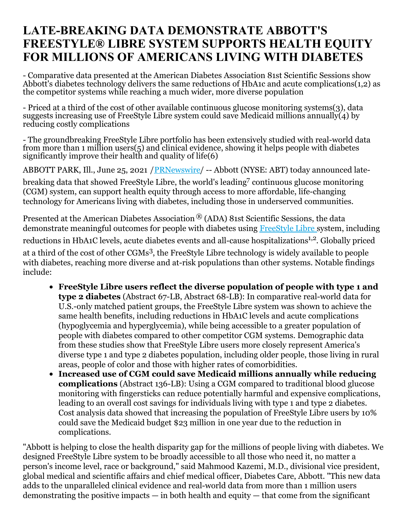# **LATE-BREAKING DATA DEMONSTRATE ABBOTT'S FREESTYLE® LIBRE SYSTEM SUPPORTS HEALTH EQUITY FOR MILLIONS OF AMERICANS LIVING WITH DIABETES**

- Comparative data presented at the American Diabetes Association 81st Scientific Sessions show Abbott's diabetes technology delivers the same reductions of HbA1c and acute complications(1,2) as the competitor systems while reaching a much wider, more diverse population

- Priced at a third of the cost of other available continuous glucose monitoring systems(3), data suggests increasing use of FreeStyle Libre system could save Medicaid millions annually(4) by reducing costly complications

- The groundbreaking FreeStyle Libre portfolio has been extensively studied with real-world data from more than 1 million users(5) and clinical evidence, showing it helps people with diabetes significantly improve their health and quality of life(6)

ABBOTT PARK, Ill., June 25, 2021 [/PRNewswire](http://www.prnewswire.com/)/ -- Abbott (NYSE: ABT) today announced late-

breaking data that showed FreeStyle Libre, the world's leading <sup>7</sup> continuous glucose monitoring (CGM) system, can support health equity through access to more affordable, life-changing technology for Americans living with diabetes, including those in underserved communities.

Presented at the American Diabetes Association ® (ADA) 81st Scientific Sessions, the data demonstrate meaningful outcomes for people with diabetes using [FreeStyle](https://c212.net/c/link/?t=0&l=en&o=3208889-1&h=1270294279&u=https%3A%2F%2Fwww.freestyle.abbott%2Fus-en%2Fhome.html&a=FreeStyle+Libre) Libre [s](https://c212.net/c/link/?t=0&l=en&o=3208889-1&h=4154239723&u=https%3A%2F%2Fwww.freestyle.abbott%2Fus-en%2Fhome.html&a=%C2%A0)ystem, including reductions in HbA1C levels, acute diabetes events and all-cause hospitalizations<sup>1,2</sup>. Globally priced at a third of the cost of other CGMs 3 , the FreeStyle Libre technology is widely available to people with diabetes, reaching more diverse and at-risk populations than other systems. Notable findings include:

- **FreeStyle Libre users reflect the diverse population of people with type 1 and type 2 diabetes** (Abstract 67-LB, Abstract 68-LB): In comparative real-world data for U.S.-only matched patient groups, the FreeStyle Libre system was shown to achieve the same health benefits, including reductions in HbA1C levels and acute complications (hypoglycemia and hyperglycemia), while being accessible to a greater population of people with diabetes compared to other competitor CGM systems. Demographic data from these studies show that FreeStyle Libre users more closely represent America's diverse type 1 and type 2 diabetes population, including older people, those living in rural areas, people of color and those with higher rates of comorbidities.
- **Increased use of CGM could save Medicaid millions annually while reducing complications** (Abstract 136-LB): Using a CGM compared to traditional blood glucose monitoring with fingersticks can reduce potentially harmful and expensive complications, leading to an overall cost savings for individuals living with type 1 and type 2 diabetes. Cost analysis data showed that increasing the population of FreeStyle Libre users by 10% could save the Medicaid budget \$23 million in one year due to the reduction in complications.

"Abbott is helping to close the health disparity gap for the millions of people living with diabetes. We designed FreeStyle Libre system to be broadly accessible to all those who need it, no matter a person's income level, race or background," said Mahmood Kazemi, M.D., divisional vice president, global medical and scientific affairs and chief medical officer, Diabetes Care, Abbott. "This new data adds to the unparalleled clinical evidence and real-world data from more than 1 million users demonstrating the positive impacts  $-$  in both health and equity  $-$  that come from the significant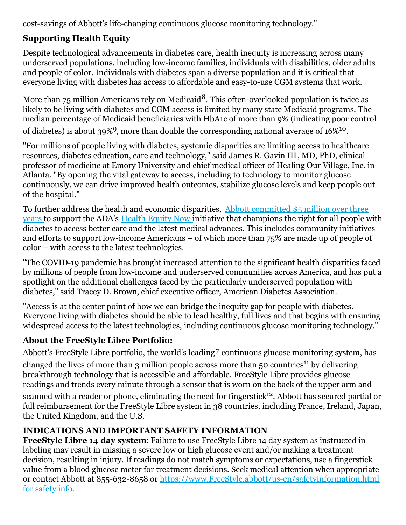cost-savings of Abbott's life-changing continuous glucose monitoring technology."

## **Supporting Health Equity**

Despite technological advancements in diabetes care, health inequity is increasing across many underserved populations, including low-income families, individuals with disabilities, older adults and people of color. Individuals with diabetes span a diverse population and it is critical that everyone living with diabetes has access to affordable and easy-to-use CGM systems that work.

More than 75 million Americans rely on Medicaid $^8$ . This often-overlooked population is twice as likely to be living with diabetes and CGM access is limited by many state Medicaid programs. The median percentage of Medicaid beneficiaries with HbA1c of more than 9% (indicating poor control of diabetes) is about 39%<sup>9</sup>, more than double the corresponding national average of  $16\%^{10}$ .

"For millions of people living with diabetes, systemic disparities are limiting access to healthcare resources, diabetes education, care and technology," said James R. Gavin III, MD, PhD, clinical professor of medicine at Emory University and chief medical officer of Healing Our Village, Inc. in Atlanta. "By opening the vital gateway to access, including to technology to monitor glucose continuously, we can drive improved health outcomes, stabilize glucose levels and keep people out of the hospital."

To further address the health and economic disparities, Abbott [committed](https://c212.net/c/link/?t=0&l=en&o=3208889-1&h=224837252&u=https%3A%2F%2Fwww.abbott.com%2Fcorpnewsroom%2Fdiabetes-care%2Fabbott-is-1st-anchor-sponsor-of-ADAs-health-equity-now.html&a=Abbott+committed+%245+million+over+three+) \$5 million over three [years](https://c212.net/c/link/?t=0&l=en&o=3208889-1&h=3417630763&u=https%3A%2F%2Fwww.abbott.com%2Fcorpnewsroom%2Fdiabetes-care%2Fabbott-is-1st-anchor-sponsor-of-ADAs-health-equity-now.html&a=years) [t](https://c212.net/c/link/?t=0&l=en&o=3208889-1&h=619414461&u=https%3A%2F%2Fwww.abbott.com%2Fcorpnewsroom%2Fdiabetes-care%2Fabbott-is-1st-anchor-sponsor-of-ADAs-health-equity-now.html&a=%C2%A0)o support the ADA's [Health](https://c212.net/c/link/?t=0&l=en&o=3208889-1&h=2752098582&u=https%3A%2F%2Fwww.diabetes.org%2Fhealthequitynow&a=Health+Equity+Now) Equity Now initiative that champions the right for all people with diabetes to access better care and the latest medical advances. This includes community initiatives and efforts to support low-income Americans – of which more than 75% are made up of people of color – with access to the latest technologies.

"The COVID-19 pandemic has brought increased attention to the significant health disparities faced by millions of people from low-income and underserved communities across America, and has put a spotlight on the additional challenges faced by the particularly underserved population with diabetes," said Tracey D. Brown, chief executive officer, American Diabetes Association.

"Access is at the center point of how we can bridge the inequity gap for people with diabetes. Everyone living with diabetes should be able to lead healthy, full lives and that begins with ensuring widespread access to the latest technologies, including continuous glucose monitoring technology."

#### **About the FreeStyle Libre Portfolio:**

Abbott's FreeStyle Libre portfolio, the world's leading<sup>7</sup> continuous glucose monitoring system, has

changed the lives of more than 3 million people across more than 50 countries<sup>11</sup> by delivering breakthrough technology that is accessible and affordable. FreeStyle Libre provides glucose readings and trends every minute through a sensor that is worn on the back of the upper arm and scanned with a reader or phone, eliminating the need for fingerstick<sup>12</sup>. Abbott has secured partial or full reimbursement for the FreeStyle Libre system in 38 countries, including France, Ireland, Japan, the United Kingdom, and the U.S.

# **INDICATIONS AND IMPORTANT SAFETY INFORMATION**

**FreeStyle Libre 14 day system**: Failure to use FreeStyle Libre 14 day system as instructed in labeling may result in missing a severe low or high glucose event and/or making a treatment decision, resulting in injury. If readings do not match symptoms or expectations, use a fingerstick value from a blood glucose meter for treatment decisions. Seek medical attention when appropriate or contact Abbott at 855-632-8658 or [https://www.FreeStyle.abbott/us-en/safetyinformation.html](https://c212.net/c/link/?t=0&l=en&o=3208889-1&h=2872589971&u=https%3A%2F%2Fwww.freestyle.abbott%2Fus-en%2Fsafety-information.html%2520for%2520safety%2520info.&a=information.html+for+safety+info.+) for safety info.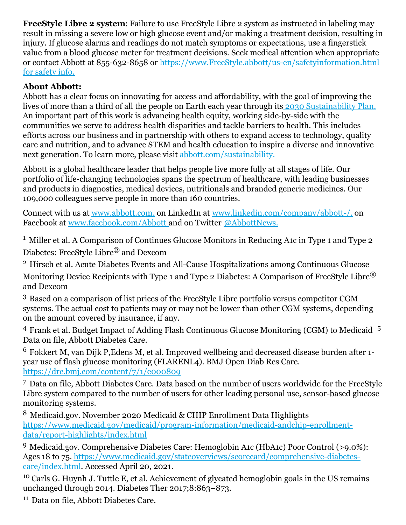**FreeStyle Libre 2 system**: Failure to use FreeStyle Libre 2 system as instructed in labeling may result in missing a severe low or high glucose event and/or making a treatment decision, resulting in injury. If glucose alarms and readings do not match symptoms or expectations, use a fingerstick value from a blood glucose meter for treatment decisions. Seek medical attention when appropriate or contact Abbott at 855-632-8658 or [https://www.FreeStyle.abbott/us-en/safetyinformation.html](https://c212.net/c/link/?t=0&l=en&o=3208889-1&h=2872589971&u=https%3A%2F%2Fwww.freestyle.abbott%2Fus-en%2Fsafety-information.html%2520for%2520safety%2520info.&a=information.html+for+safety+info.+) for safety info.

### **About Abbott:**

Abbott has a clear focus on innovating for access and affordability, with the goal of improving the lives of more than a third of all the people on Earth each year through its 2030 [Sustainability](https://c212.net/c/link/?t=0&l=en&o=3208889-1&h=4032971798&u=http%3A%2F%2Fwww.abbott.com%2Fsustainability&a=%C2%A02030+Sustainability+Plan.) Plan. An important part of this work is advancing health equity, working side-by-side with the communities we serve to address health disparities and tackle barriers to health. This includes efforts across our business and in partnership with others to expand access to technology, quality care and nutrition, and to advance STEM and health education to inspire a diverse and innovative next generation. To learn more, please visit [abbott.com/sustainability.](https://c212.net/c/link/?t=0&l=en&o=3208889-1&h=4066308478&u=http%3A%2F%2Fwww.abbott.com%2Fsustainability&a=abbott.com%2Fsustainability.)

Abbott is a global healthcare leader that helps people live more fully at all stages of life. Our portfolio of life-changing technologies spans the spectrum of healthcare, with leading businesses and products in diagnostics, medical devices, nutritionals and branded generic medicines. Our 109,000 colleagues serve people in more than 160 countries.

Connect with us at [www.abbott.com](https://c212.net/c/link/?t=0&l=en&o=3208889-1&h=3411029274&u=https%3A%2F%2Fc212.net%2Fc%2Flink%2F%3Ft%3D0%26l%3Den%26o%3D2772355-1%26h%3D1009138289%26u%3Dhttp%253A%252F%252Fwww.abbott.com%252F%26a%3Dwww.abbott.com&a=www.abbott.com)[,](https://c212.net/c/link/?t=0&l=en&o=3208889-1&h=1035981897&u=https%3A%2F%2Fc212.net%2Fc%2Flink%2F%3Ft%3D0%26l%3Den%26o%3D2772355-1%26h%3D1009138289%26u%3Dhttp%253A%252F%252Fwww.abbott.com%252F%26a%3Dwww.abbott.com&a=%2C) on LinkedIn at [www.linkedin.com/company/abbott-/](https://c212.net/c/link/?t=0&l=en&o=3208889-1&h=2941779294&u=https%3A%2F%2Fc212.net%2Fc%2Flink%2F%3Ft%3D0%26l%3Den%26o%3D2772355-1%26h%3D126623637%26u%3Dhttp%253A%252F%252Fwww.linkedin.com%252Fcompany%252Fabbott-%252F%26a%3Dwww.linkedin.com%252Fcompany%252Fabbott-%252F&a=www.linkedin.com%2Fcompany%2Fabbott-%2F)[,](https://c212.net/c/link/?t=0&l=en&o=3208889-1&h=2641864780&u=https%3A%2F%2Fc212.net%2Fc%2Flink%2F%3Ft%3D0%26l%3Den%26o%3D2772355-1%26h%3D126623637%26u%3Dhttp%253A%252F%252Fwww.linkedin.com%252Fcompany%252Fabbott-%252F%26a%3Dwww.linkedin.com%252Fcompany%252Fabbott-%252F&a=%2C) on Facebook at [www.facebook.com/Abbott](https://c212.net/c/link/?t=0&l=en&o=3208889-1&h=1942704014&u=https%3A%2F%2Fc212.net%2Fc%2Flink%2F%3Ft%3D0%26l%3Den%26o%3D2772355-1%26h%3D549046598%26u%3Dhttp%253A%252F%252Fwww.facebook.com%252FAbbott%26a%3Dwww.facebook.com%252FAbbott&a=www.facebook.com%2FAbbott) and on Twitter [@AbbottNews](https://c212.net/c/link/?t=0&l=en&o=3208889-1&h=1273105015&u=https%3A%2F%2Ftwitter.com%2FAbbottNews&a=%40AbbottNews)[.](https://c212.net/c/link/?t=0&l=en&o=3208889-1&h=1910016055&u=https%3A%2F%2Ftwitter.com%2FAbbottNews&a=.)

<sup>1</sup> Miller et al. A Comparison of Continues Glucose Monitors in Reducing A1c in Type 1 and Type 2 Diabetes: FreeStyle Libre® and Dexcom

<sup>2</sup> Hirsch et al. Acute Diabetes Events and All-Cause Hospitalizations among Continuous Glucose Monitoring Device Recipients with Type 1 and Type 2 Diabetes: A Comparison of FreeStyle Libre<sup>®</sup> and Dexcom

<sup>3</sup> Based on a comparison of list prices of the FreeStyle Libre portfolio versus competitor CGM systems. The actual cost to patients may or may not be lower than other CGM systems, depending on the amount covered by insurance, if any.

<sup>4</sup> Frank et al. Budget Impact of Adding Flash Continuous Glucose Monitoring (CGM) to Medicaid <sup>5</sup> Data on file, Abbott Diabetes Care.

<sup>6</sup> Fokkert M, van Dijk P,Edens M, et al. Improved wellbeing and decreased disease burden after 1 year use of flash glucose monitoring (FLARENL4). BMJ Open Diab Res Care. <https://drc.bmj.com/content/7/1/e000809>

<sup>7</sup> Data on file, Abbott Diabetes Care. Data based on the number of users worldwide for the FreeStyle Libre system compared to the number of users for other leading personal use, sensor-based glucose monitoring systems.

<sup>8</sup> Medicaid.gov. November 2020 Medicaid & CHIP Enrollment Data Highlights [https://www.medicaid.gov/medicaid/program-information/medicaid-andchip-enrollment](https://www.medicaid.gov/medicaid/program-information/medicaid-andchip-enrollment-data/report-highlights/index.html)data/report-highlights/index.html

<sup>9</sup> Medicaid.gov. Comprehensive Diabetes Care: Hemoglobin A1c (HbA1c) Poor Control (>9.0%): Ages 18 to 75. [https://www.medicaid.gov/stateoverviews/scorecard/comprehensive-diabetes](https://www.medicaid.gov/stateoverviews/scorecard/comprehensive-diabetes-care/index.html)care/index.html. Accessed April 20, 2021.

<sup>10</sup> Carls G. Huynh J. Tuttle E, et al. Achievement of glycated hemoglobin goals in the US remains unchanged through 2014. Diabetes Ther 2017;8:863–873.

<sup>11</sup> Data on file, Abbott Diabetes Care.